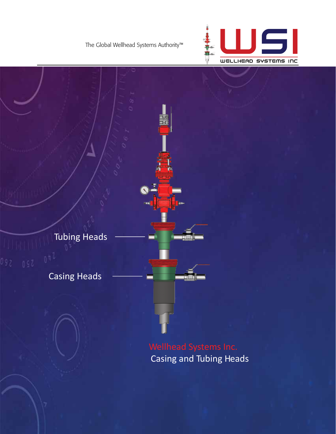



Casing and Tubing Heads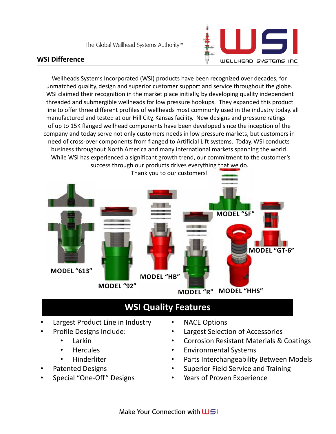#### **WSI Difference**



Wellheads Systems Incorporated (WSI) products have been recognized over decades, for unmatched quality, design and superior customer support and service throughout the globe. WSI claimed their recognition in the market place initially, by developing quality independent threaded and submergible wellheads for low pressure hookups. They expanded this product line to offer three different profiles of wellheads most commonly used in the industry today, all manufactured and tested at our Hill City, Kansas facility. New designs and pressure ratings of up to 15K flanged wellhead components have been developed since the inception of the company and today serve not only customers needs in low pressure markets, but customers in need of cross-over components from flanged to Artificial Lift systems. Today, WSI conducts business throughout North America and many international markets spanning the world. While WSI has experienced a significant growth trend, our commitment to the customer's success through our products drives everything that we do.



# **WSI Quality Features**

- Largest Product Line in Industry
- Profile Designs Include:
	- Larkin
	- **Hercules**
	- Hinderliter
- Patented Designs
- Special "One-Off " Designs
- **NACE Options**
- Largest Selection of Accessories
- Corrosion Resistant Materials & Coatings
- Environmental Systems
- Parts Interchangeability Between Models
- Superior Field Service and Training
- Years of Proven Experience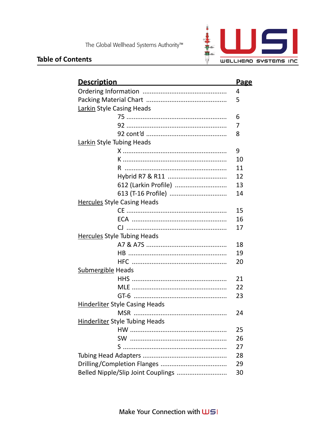



| <u>Description</u><br><u> 1980 - Johann Barbara, martxa alemaniar a</u> | <b>Page</b> |  |
|-------------------------------------------------------------------------|-------------|--|
|                                                                         | 4           |  |
|                                                                         | 5           |  |
| Larkin Style Casing Heads                                               |             |  |
|                                                                         | 6           |  |
|                                                                         | 7           |  |
|                                                                         | 8           |  |
| <b>Larkin Style Tubing Heads</b>                                        |             |  |
|                                                                         | 9           |  |
| <u>K ………………………………………………………</u>                                          | 10          |  |
|                                                                         | 11          |  |
|                                                                         | 12          |  |
| 612 (Larkin Profile)                                                    | 13          |  |
| 613 (T-16 Profile)                                                      | 14          |  |
| <b>Hercules Style Casing Heads</b>                                      |             |  |
|                                                                         | 15          |  |
|                                                                         | 16          |  |
|                                                                         | 17          |  |
| <b>Hercules Style Tubing Heads</b>                                      |             |  |
|                                                                         | 18          |  |
|                                                                         | 19          |  |
|                                                                         | 20          |  |
| <b>Submergible Heads</b>                                                |             |  |
|                                                                         | 21          |  |
|                                                                         | 22          |  |
|                                                                         | 23          |  |
| <b>Hinderliter Style Casing Heads</b>                                   |             |  |
|                                                                         | 24          |  |
| Hinderliter Style Tubing Heads                                          |             |  |
|                                                                         | 25          |  |
|                                                                         | 26          |  |
|                                                                         | 27          |  |
|                                                                         | 28          |  |
|                                                                         | 29          |  |
| Belled Nipple/Slip Joint Couplings                                      |             |  |

## e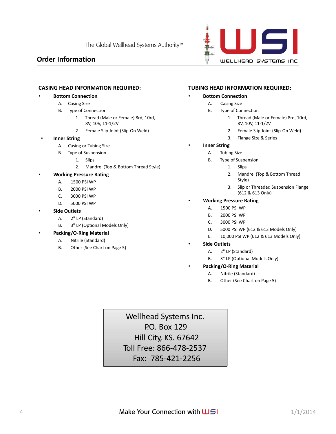#### **Order Information**



#### **CASING HEAD INFORMATION REQUIRED:**

#### • **Bottom Connection**

- A. Casing Size
- B. Type of Connection
	- 1. Thread (Male or Female) 8rd, 10rd, 8V, 10V, 11-1/2V
	- 2. Female Slip Joint (Slip-On Weld)

#### • **Inner String**

- A. Casing or Tubing Size
- B. Type of Suspension
	- 1. Slips
		- 2. Mandrel (Top & Bottom Thread Style)

#### • **Working Pressure Rating**

- A. 1500 PSI WP
- B. 2000 PSI WP
- C. 3000 PSI WP
- D. 5000 PSI WP
- **Side Outlets**
	- A. 2" LP (Standard)
	- B. 3" LP (Optional Models Only)

#### • **Packing/O-Ring Material**

- A. Nitrile (Standard)
- B. Other (See Chart on Page 5)

#### **TUBING HEAD INFORMATION REQUIRED:**

#### • **Bottom Connection**

- A. Casing Size
- B. Type of Connection
	- 1. Thread (Male or Female) 8rd, 10rd, 8V, 10V, 11-1/2V
	- 2. Female Slip Joint (Slip-On Weld)
	- 3. Flange Size & Series
- **Inner String** 
	- A. Tubing Size
	- B. Type of Suspension
		- 1. Slips
		- 2. Mandrel (Top & Bottom Thread Style)
		- 3. Slip or Threaded Suspension Flange (612 & 613 Only)

#### • **Working Pressure Rating**

- A. 1500 PSI WP
- B. 2000 PSI WP
- C. 3000 PSI WP
- D. 5000 PSI WP (612 & 613 Models Only)
- E. 10,000 PSI WP (612 & 613 Models Only)
- **Side Outlets**
	- A. 2" LP (Standard)
	- B. 3" LP (Optional Models Only)
- **Packing/O-Ring Material**
	- A. Nitrile (Standard)
	- B. Other (See Chart on Page 5)

Wellhead Systems Inc. P.O. Box 129 Hill City, KS. 67642 Toll Free: 866-478-2537 Fax: 785-421-2256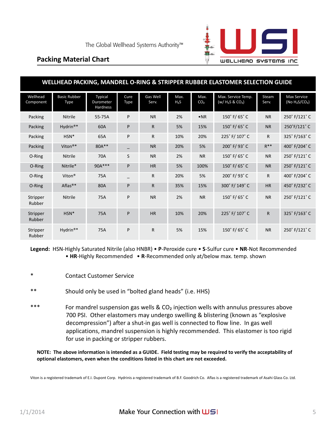

### **Packing Material Chart**

| WELLHEAD PACKING, MANDREL O-RING & STRIPPER RUBBER ELASTOMER SELECTION GUIDE |                                    |                                  |              |                   |                          |                         |                                           |                |                                         |
|------------------------------------------------------------------------------|------------------------------------|----------------------------------|--------------|-------------------|--------------------------|-------------------------|-------------------------------------------|----------------|-----------------------------------------|
| Wellhead<br>Component                                                        | <b>Basic Rubber</b><br><b>Type</b> | Typical<br>Durometer<br>Hardness | Cure<br>Type | Gas Well<br>Serv. | Max.<br>H <sub>2</sub> S | Max.<br>CO <sub>2</sub> | Max. Service Temp.<br>$(w / H_2S & CO_2)$ | Steam<br>Serv. | <b>Max Service</b><br>(No $H_2S/CO_2$ ) |
| Packing                                                                      | <b>Nitrile</b>                     | 55-75A                           | P            | <b>NR</b>         | 2%                       | $\bullet$ <sub>NR</sub> | 150° F/65° C                              | <b>NR</b>      | 250° F/121° C                           |
| Packing                                                                      | Hydrin <sup>®*</sup>               | 60A                              | P            | $\mathsf{R}$      | 5%                       | 15%                     | 150° F/65° C                              | <b>NR</b>      | 250°F/121°C                             |
| Packing                                                                      | $HSN*$                             | 65A                              | P            | $\mathsf{R}$      | 10%                      | 20%                     | 225° F/107° C                             | R.             | 325° F/163° C                           |
| Packing                                                                      | Viton <sup>®*</sup>                | $80A***$                         |              | <b>NR</b>         | 20%                      | 5%                      | 200° F/93° C                              | $R^{**}$       | 400° F/204° C                           |
| O-Ring                                                                       | Nitrile                            | 70A                              | S            | <b>NR</b>         | 2%                       | <b>NR</b>               | 150° F/65° C                              | <b>NR</b>      | 250° F/121° C                           |
| O-Ring                                                                       | Nitrile*                           | 90A***                           | P            | HR                | 5%                       | 100%                    | $150^\circ$ F/ 65 $^\circ$ C              | <b>NR</b>      | 250° F/121° C                           |
| O-Ring                                                                       | Viton <sup>®</sup>                 | 75A                              |              | $\mathsf{R}$      | 20%                      | 5%                      | 200° F/93° C                              | R.             | 400° F/204° C                           |
| O-Ring                                                                       | Aflas <sup>®*</sup>                | 80A                              | P            | R.                | 35%                      | 15%                     | 300° F/149° C                             | <b>HR</b>      | 450° F/232° C                           |
| Stripper<br>Rubber                                                           | <b>Nitrile</b>                     | 75A                              | P            | <b>NR</b>         | 2%                       | <b>NR</b>               | 150° F/ 65° C                             | <b>NR</b>      | 250° F/121° C                           |
| Stripper<br>Rubber                                                           | $HSN*$                             | 75A                              | P            | <b>HR</b>         | 10%                      | 20%                     | 225° F/107° C                             | R.             | 325° F/163° C                           |
| Stripper<br>Rubber                                                           | $Hvdrin$ <sup>®*</sup>             | 75A                              | P            | $\mathsf{R}$      | 5%                       | 15%                     | 150° F/ 65° C                             | <b>NR</b>      | 250° F/121° C                           |

**Legend:** HSN-Highly Saturated Nitrile (also HNBR) • **P**-Peroxide cure • **S**-Sulfur cure • **NR**-Not Recommended • **HR**-Highly Recommended • **R**-Recommended only at/below max. temp. shown

- **Contact Customer Service**
- \*\* Should only be used in "bolted gland heads" (i.e. HHS)
- \*\*\* For mandrel suspension gas wells &  $CO<sub>2</sub>$  injection wells with annulus pressures above 700 PSI. Other elastomers may undergo swelling & blistering (known as "explosive decompression") after a shut-in gas well is connected to flow line. In gas well applications, mandrel suspension is highly recommended. This elastomer is too rigid for use in packing or stripper rubbers.

**NOTE: The above information is intended as a GUIDE. Field testing may be required to verify the acceptability of optional elastomers, even when the conditions listed in this chart are not exceeded.**

Viton is a registered trademark of E.I. Dupont Corp. Hydrinis a registered trademark of B.F. Goodrich Co. Aflas is a registered trademark of Asahi Glass Co. Ltd.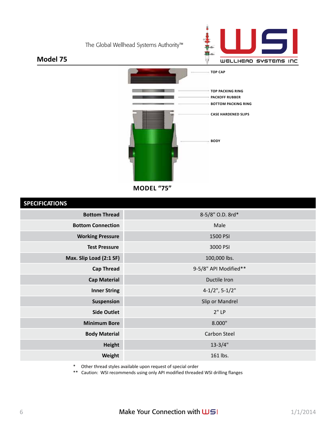



### **Model 75**



**MODEL "75"** 

#### **SPECIFICATIONS**

| <b>SI LUI IUNIUIU</b>    |                       |
|--------------------------|-----------------------|
| <b>Bottom Thread</b>     | 8-5/8" O.D. 8rd*      |
| <b>Bottom Connection</b> | Male                  |
| <b>Working Pressure</b>  | 1500 PSI              |
| <b>Test Pressure</b>     | 3000 PSI              |
| Max. Slip Load (2:1 SF)  | 100,000 lbs.          |
| <b>Cap Thread</b>        | 9-5/8" API Modified** |
| <b>Cap Material</b>      | Ductile Iron          |
| <b>Inner String</b>      | $4-1/2$ ", $5-1/2$ "  |
| Suspension               | Slip or Mandrel       |
| <b>Side Outlet</b>       | 2"LP                  |
| <b>Minimum Bore</b>      | 8.000"                |
| <b>Body Material</b>     | Carbon Steel          |
| <b>Height</b>            | $13 - 3/4"$           |
| Weight                   | 161 lbs.              |
|                          |                       |

\* Other thread styles available upon request of special order

\*\* Caution: WSI recommends using only API modified threaded WSI drilling flanges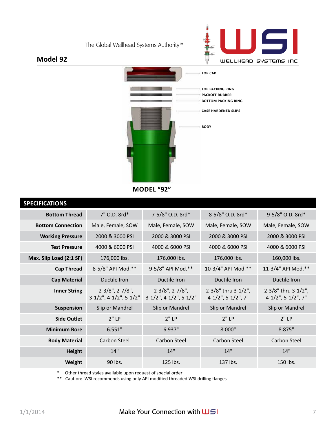



### **Model 92**



**MODEL "92"** 

| <b>SPECIFICATIONS</b>    |                                                          |                                                          |                                              |                                              |
|--------------------------|----------------------------------------------------------|----------------------------------------------------------|----------------------------------------------|----------------------------------------------|
| <b>Bottom Thread</b>     | 7" O.D. 8rd*                                             | 7-5/8" O.D. 8rd*                                         | 8-5/8" O.D. 8rd*                             | 9-5/8" O.D. 8rd*                             |
| <b>Bottom Connection</b> | Male, Female, SOW                                        | Male, Female, SOW                                        | Male, Female, SOW                            | Male, Female, SOW                            |
| <b>Working Pressure</b>  | 2000 & 3000 PSI                                          | 2000 & 3000 PSI                                          | 2000 & 3000 PSI                              | 2000 & 3000 PSI                              |
| <b>Test Pressure</b>     | 4000 & 6000 PSI                                          | 4000 & 6000 PSI                                          | 4000 & 6000 PSI                              | 4000 & 6000 PSI                              |
| Max. Slip Load (2:1 SF)  | 176,000 lbs.                                             | 176,000 lbs.                                             | 176,000 lbs.                                 | 160,000 lbs.                                 |
| <b>Cap Thread</b>        | 8-5/8" API Mod.**                                        | 9-5/8" API Mod.**                                        | 10-3/4" API Mod.**                           | 11-3/4" API Mod.**                           |
| <b>Cap Material</b>      | Ductile Iron                                             | Ductile Iron                                             | Ductile Iron                                 | Ductile Iron                                 |
| <b>Inner String</b>      | $2-3/8$ ", $2-7/8$ ",<br>$3-1/2$ ", $4-1/2$ ", $5-1/2$ " | $2-3/8$ ", $2-7/8$ ",<br>$3-1/2$ ", $4-1/2$ ", $5-1/2$ " | 2-3/8" thru 3-1/2",<br>$4-1/2$ ", 5-1/2", 7" | 2-3/8" thru 3-1/2",<br>$4-1/2$ ", 5-1/2", 7" |
| <b>Suspension</b>        | Slip or Mandrel                                          | Slip or Mandrel                                          | Slip or Mandrel                              | Slip or Mandrel                              |
| <b>Side Outlet</b>       | 2"LP                                                     | 2"LP                                                     | 2"LP                                         | $2"$ LP                                      |
| <b>Minimum Bore</b>      | 6.551"                                                   | 6.937"                                                   | 8.000"                                       | 8.875"                                       |
| <b>Body Material</b>     | Carbon Steel                                             | Carbon Steel                                             | Carbon Steel                                 | Carbon Steel                                 |
| <b>Height</b>            | 14"                                                      | 14"                                                      | 14"                                          | 14"                                          |
| Weight                   | 90 lbs.                                                  | 125 lbs.                                                 | 137 lbs.                                     | 150 lbs.                                     |

\* Other thread styles available upon request of special order

\*\* Caution: WSI recommends using only API modified threaded WSI drilling flanges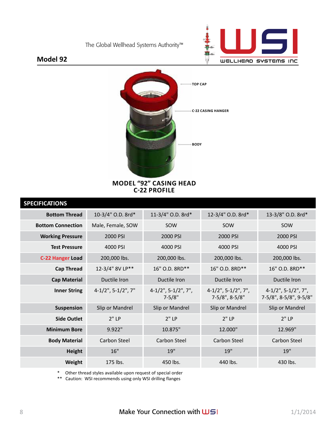

#### **Model 92**



**MODEL "92" CASING HEAD C-22 PROFILE** 

| <b>SPECIFICATIONS</b>    |                       |                                      |                                          |                                                  |
|--------------------------|-----------------------|--------------------------------------|------------------------------------------|--------------------------------------------------|
| <b>Bottom Thread</b>     | 10-3/4" O.D. 8rd*     | 11-3/4" O.D. 8rd*                    | 12-3/4" O.D. 8rd*                        | 13-3/8" O.D. 8rd*                                |
| <b>Bottom Connection</b> | Male, Female, SOW     | SOW                                  | SOW                                      | SOW                                              |
| <b>Working Pressure</b>  | 2000 PSI              | 2000 PSI                             | 2000 PSI                                 | 2000 PSI                                         |
| <b>Test Pressure</b>     | 4000 PSI              | 4000 PSI                             | 4000 PSI                                 | 4000 PSI                                         |
| <b>C-22 Hanger Load</b>  | 200,000 lbs.          | 200,000 lbs.                         | 200,000 lbs.                             | 200,000 lbs.                                     |
| <b>Cap Thread</b>        | 12-3/4" 8V LP**       | 16" O.D. 8RD**                       | 16" O.D. 8RD**                           | 16" O.D. 8RD**                                   |
| <b>Cap Material</b>      | Ductile Iron          | Ductile Iron                         | Ductile Iron                             | Ductile Iron                                     |
| <b>Inner String</b>      | $4-1/2$ ", 5-1/2", 7" | $4-1/2$ ", 5-1/2", 7",<br>$7 - 5/8"$ | $4-1/2$ ", 5-1/2", 7",<br>7-5/8", 8-5/8" | $4-1/2$ ", 5-1/2", 7",<br>7-5/8", 8-5/8", 9-5/8" |
| Suspension               | Slip or Mandrel       | Slip or Mandrel                      | Slip or Mandrel                          | Slip or Mandrel                                  |
| <b>Side Outlet</b>       | $2"$ LP               | 2"LP                                 | 2"LP                                     | $2"$ LP                                          |
| <b>Minimum Bore</b>      | 9.922"                | 10.875"                              | 12.000"                                  | 12.969"                                          |
| <b>Body Material</b>     | Carbon Steel          | Carbon Steel                         | Carbon Steel                             | Carbon Steel                                     |
| <b>Height</b>            | 16"                   | 19"                                  | 19"                                      | 19"                                              |
| Weight                   | 175 lbs.              | 450 lbs.                             | 440 lbs.                                 | 430 lbs.                                         |

\* Other thread styles available upon request of special order

\*\* Caution: WSI recommends using only WSI drilling flanges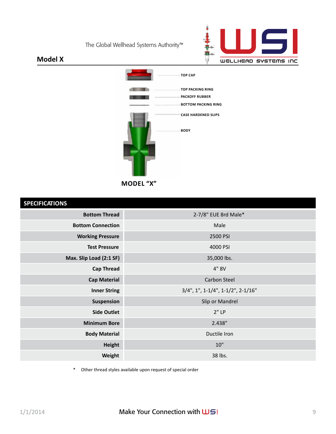

### **Model X**



| <b>SPECIFICATIONS</b> |  |  |  |
|-----------------------|--|--|--|
|                       |  |  |  |

| <b>SPECIFICATIONS</b>                                       |                      |  |
|-------------------------------------------------------------|----------------------|--|
| <b>Bottom Thread</b>                                        | 2-7/8" EUE 8rd Male* |  |
| <b>Bottom Connection</b>                                    | Male                 |  |
| <b>Working Pressure</b>                                     | 2500 PSI             |  |
| <b>Test Pressure</b>                                        | 4000 PSI             |  |
| Max. Slip Load (2:1 SF)                                     | 35,000 lbs.          |  |
| <b>Cap Thread</b>                                           | 4" 8V                |  |
| Carbon Steel<br><b>Cap Material</b>                         |                      |  |
| $3/4$ ", 1", 1-1/4", 1-1/2", 2-1/16"<br><b>Inner String</b> |                      |  |
| Suspension                                                  | Slip or Mandrel      |  |
| <b>Side Outlet</b>                                          | $2"$ LP              |  |
| <b>Minimum Bore</b>                                         | 2.438"               |  |
| <b>Body Material</b>                                        | Ductile Iron         |  |
| <b>Height</b>                                               | 10"                  |  |
| Weight                                                      | 38 lbs.              |  |
|                                                             |                      |  |

\* Other thread styles available upon request of special order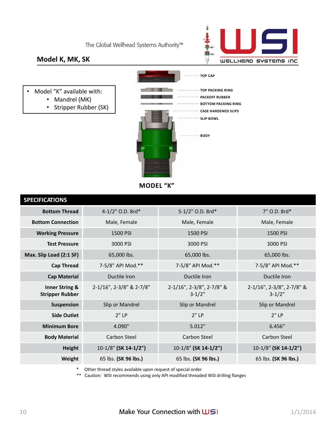

### **Model K, MK, SK**

- Model "K" available with:
	- Mandrel (MK)
	- Stripper Rubber (SK)



**MODEL "K"** 

| <b>SPECIFICATIONS</b>                               |                          |                                         |                                         |
|-----------------------------------------------------|--------------------------|-----------------------------------------|-----------------------------------------|
| <b>Bottom Thread</b>                                | 4-1/2" O.D. 8rd*         | 5-1/2" O.D. 8rd*                        | 7" O.D. 8rd*                            |
| <b>Bottom Connection</b>                            | Male, Female             | Male, Female                            | Male, Female                            |
| <b>Working Pressure</b>                             | 1500 PSI                 | 1500 PSI                                | 1500 PSI                                |
| <b>Test Pressure</b>                                | 3000 PSI                 | 3000 PSI                                | 3000 PSI                                |
| Max. Slip Load (2:1 SF)                             | 65,000 lbs.              | 65,000 lbs.                             | 65,000 lbs.                             |
| <b>Cap Thread</b>                                   | 7-5/8" API Mod.**        | 7-5/8" API Mod.**                       | 7-5/8" API Mod.**                       |
| <b>Cap Material</b>                                 | Ductile Iron             | Ductile Iron                            | Ductile Iron                            |
| <b>Inner String &amp;</b><br><b>Stripper Rubber</b> | 2-1/16", 2-3/8" & 2-7/8" | 2-1/16", 2-3/8", 2-7/8" &<br>$3 - 1/2"$ | 2-1/16", 2-3/8", 2-7/8" &<br>$3 - 1/2"$ |
| <b>Suspension</b>                                   | Slip or Mandrel          | Slip or Mandrel                         | Slip or Mandrel                         |
| <b>Side Outlet</b>                                  | $2"$ LP                  | $2"$ LP                                 | 2"LP                                    |
| <b>Minimum Bore</b>                                 | 4.090"                   | 5.012"                                  | 6.456"                                  |
| <b>Body Material</b>                                | Carbon Steel             | Carbon Steel                            | Carbon Steel                            |
| <b>Height</b>                                       | $10-1/8$ " (SK 14-1/2")  | $10-1/8$ " (SK 14-1/2")                 | $10-1/8$ " (SK 14-1/2")                 |
| Weight                                              | 65 lbs. (SK 96 lbs.)     | 65 lbs. (SK 96 lbs.)                    | 65 lbs. (SK 96 lbs.)                    |

\* Other thread styles available upon request of special order

\*\* Caution: WSI recommends using only API modified threaded WSI drilling flanges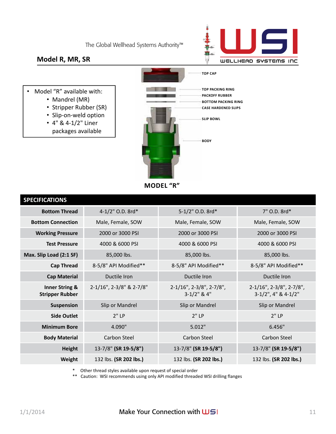

#### **Model R, MR, SR**

- Model "R" available with:
	- Mandrel (MR)
	- Stripper Rubber (SR)
	- Slip-on-weld option
	- 4" & 4-1/2" Liner
	- packages available



**MODEL "R"** 

| <b>SPECIFICATIONS</b>                               |                          |                                                     |                                                             |
|-----------------------------------------------------|--------------------------|-----------------------------------------------------|-------------------------------------------------------------|
| <b>Bottom Thread</b>                                | 4-1/2" O.D. 8rd*         | 5-1/2" O.D. 8rd*                                    | 7" O.D. 8rd*                                                |
| <b>Bottom Connection</b>                            | Male, Female, SOW        | Male, Female, SOW                                   | Male, Female, SOW                                           |
| <b>Working Pressure</b>                             | 2000 or 3000 PSI         | 2000 or 3000 PSI                                    | 2000 or 3000 PSI                                            |
| <b>Test Pressure</b>                                | 4000 & 6000 PSI          | 4000 & 6000 PSI                                     | 4000 & 6000 PSI                                             |
| Max. Slip Load (2:1 SF)                             | 85,000 lbs.              | 85,000 lbs.                                         | 85,000 lbs.                                                 |
| <b>Cap Thread</b>                                   | 8-5/8" API Modified**    | 8-5/8" API Modified**                               | 8-5/8" API Modified**                                       |
| <b>Cap Material</b>                                 | Ductile Iron             | Ductile Iron                                        | Ductile Iron                                                |
| <b>Inner String &amp;</b><br><b>Stripper Rubber</b> | 2-1/16", 2-3/8" & 2-7/8" | $2-1/16$ ", $2-3/8$ ", $2-7/8$ ",<br>$3-1/2$ " & 4" | $2-1/16$ ", $2-3/8$ ", $2-7/8$ ",<br>$3-1/2$ ", 4" & 4-1/2" |
| <b>Suspension</b>                                   | Slip or Mandrel          | Slip or Mandrel                                     | Slip or Mandrel                                             |
| <b>Side Outlet</b>                                  | 2"LP                     | 2"LP                                                | 2"LP                                                        |
| <b>Minimum Bore</b>                                 | 4.090"                   | 5.012"                                              | 6.456"                                                      |
| <b>Body Material</b>                                | Carbon Steel             | Carbon Steel                                        | Carbon Steel                                                |
| Height                                              | 13-7/8" (SR 19-5/8")     | 13-7/8" (SR 19-5/8")                                | 13-7/8" (SR 19-5/8")                                        |
| Weight                                              | 132 lbs. (SR 202 lbs.)   | 132 lbs. (SR 202 lbs.)                              | 132 lbs. (SR 202 lbs.)                                      |

\* Other thread styles available upon request of special order

\*\* Caution: WSI recommends using only API modified threaded WSI drilling flanges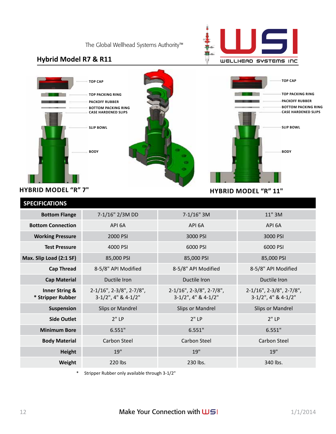

### **Hybrid Model R7 & R11**



#### **HYBRID MODEL "R" 11"**

| <b>SPECIFICATIONS</b>                          |                                                          |                                                 |                                                          |
|------------------------------------------------|----------------------------------------------------------|-------------------------------------------------|----------------------------------------------------------|
| <b>Bottom Flange</b>                           | 7-1/16" 2/3M DD                                          | $7-1/16"$ 3M                                    | 11" 3M                                                   |
| <b>Bottom Connection</b>                       | API 6A                                                   | API 6A                                          | API 6A                                                   |
| <b>Working Pressure</b>                        | 2000 PSI                                                 | 3000 PSI                                        | 3000 PSI                                                 |
| <b>Test Pressure</b>                           | 4000 PSI                                                 | 6000 PSI                                        | 6000 PSI                                                 |
| Max. Slip Load (2:1 SF)                        | 85,000 PSI                                               | 85,000 PSI                                      | 85,000 PSI                                               |
| <b>Cap Thread</b>                              | 8-5/8" API Modified                                      | 8-5/8" API Modified                             | 8-5/8" API Modified                                      |
| <b>Cap Material</b>                            | Ductile Iron                                             | Ductile Iron                                    | Ductile Iron                                             |
| <b>Inner String &amp;</b><br>* Stripper Rubber | $2-1/16$ ", $2-3/8$ ", $2-7/8$ ",<br>3-1/2", 4" & 4-1/2" | 2-1/16", 2-3/8", 2-7/8",<br>3-1/2", 4" & 4-1/2" | $2-1/16$ ", $2-3/8$ ", $2-7/8$ ",<br>3-1/2", 4" & 4-1/2" |
| Suspension                                     | Slips or Mandrel                                         | Slips or Mandrel                                | <b>Slips or Mandrel</b>                                  |
| <b>Side Outlet</b>                             | 2"LP                                                     | 2"LP                                            | 2"LP                                                     |
| <b>Minimum Bore</b>                            | 6.551"                                                   | 6.551"                                          | 6.551"                                                   |
| <b>Body Material</b>                           | Carbon Steel                                             | Carbon Steel                                    | Carbon Steel                                             |
| <b>Height</b>                                  | 19"                                                      | 19"                                             | 19"                                                      |
| Weight                                         | 220 lbs                                                  | 230 lbs.                                        | 340 lbs.                                                 |

\* Stripper Rubber only available through 3-1/2"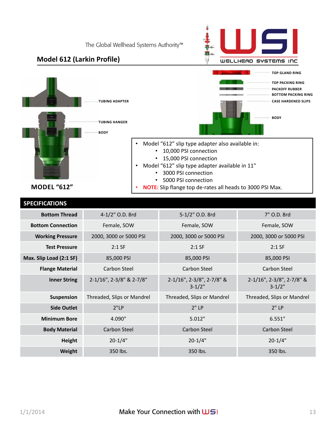

**Model 612 (Larkin Profile)**

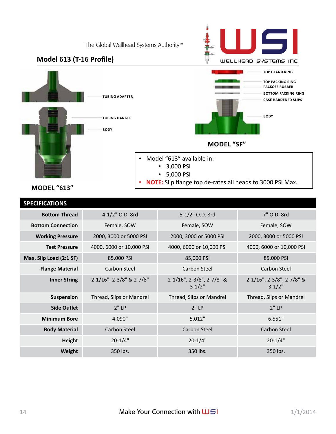**BODy**

## **Model 613 (T-16 Profile)** WELLHEAD SYSTEMS INC **TOP GLAND RING TOP PACKING RING PACKOFF RUBBER BoTTOM PACKING RING TUBING ADAPTER CASE HARDENED SLIPS BODy TUBING HANGER MODEL "SF"**  • Model "613" available in: • 3,000 PSI • 5,000 PSI

• **NOTE:** Slip flange top de-rates all heads to 3000 PSI Max.

**MODEL "613"**

| <b>SPECIFICATIONS</b>    |                          |                                         |                                                  |
|--------------------------|--------------------------|-----------------------------------------|--------------------------------------------------|
| <b>Bottom Thread</b>     | 4-1/2" O.D. 8rd          | 5-1/2" O.D. 8rd                         | 7" O.D. 8rd                                      |
| <b>Bottom Connection</b> | Female, SOW              | Female, SOW                             | Female, SOW                                      |
| <b>Working Pressure</b>  | 2000, 3000 or 5000 PSI   | 2000, 3000 or 5000 PSI                  | 2000, 3000 or 5000 PSI                           |
| <b>Test Pressure</b>     | 4000, 6000 or 10,000 PSI | 4000, 6000 or 10,000 PSI                | 4000, 6000 or 10,000 PSI                         |
| Max. Slip Load (2:1 SF)  | 85,000 PSI               | 85,000 PSI                              | 85,000 PSI                                       |
| <b>Flange Material</b>   | Carbon Steel             | Carbon Steel                            | Carbon Steel                                     |
| <b>Inner String</b>      | 2-1/16", 2-3/8" & 2-7/8" | 2-1/16", 2-3/8", 2-7/8" &<br>$3 - 1/2"$ | $2-1/16$ ", $2-3/8$ ", $2-7/8$ " &<br>$3 - 1/2"$ |
| <b>Suspension</b>        | Thread, Slips or Mandrel | Thread, Slips or Mandrel                | Thread, Slips or Mandrel                         |
| <b>Side Outlet</b>       | $2"$ LP                  | 2"LP                                    | 2"LP                                             |
| <b>Minimum Bore</b>      | 4.090"                   | 5.012"                                  | 6.551"                                           |
| <b>Body Material</b>     | Carbon Steel             | Carbon Steel                            | <b>Carbon Steel</b>                              |
| Height                   | $20 - 1/4"$              | $20 - 1/4"$                             | $20 - 1/4"$                                      |
| Weight                   | 350 lbs.                 | 350 lbs.                                | 350 lbs.                                         |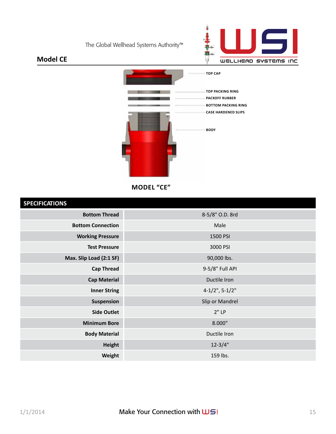

### **Model CE**



**MODEL "CE"** 

#### **SPECIFICATIONS**

| <b>SPECIFICALIUNS</b>    |                      |
|--------------------------|----------------------|
| <b>Bottom Thread</b>     | 8-5/8" O.D. 8rd      |
| <b>Bottom Connection</b> | Male                 |
| <b>Working Pressure</b>  | 1500 PSI             |
| <b>Test Pressure</b>     | 3000 PSI             |
| Max. Slip Load (2:1 SF)  | 90,000 lbs.          |
| <b>Cap Thread</b>        | 9-5/8" Full API      |
| <b>Cap Material</b>      | Ductile Iron         |
| <b>Inner String</b>      | $4-1/2$ ", $5-1/2$ " |
| Suspension               | Slip or Mandrel      |
| <b>Side Outlet</b>       | 2"LP                 |
| <b>Minimum Bore</b>      | 8.000"               |
| <b>Body Material</b>     | Ductile Iron         |
| <b>Height</b>            | $12 - 3/4"$          |
| Weight                   | 159 lbs.             |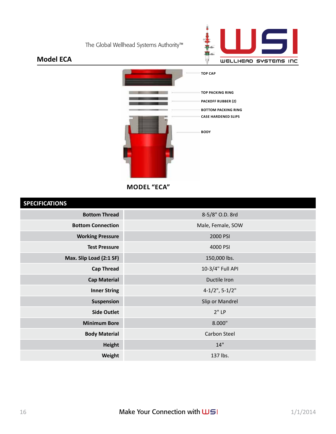

### **Model ECA**



**MODEL "ECA"** 

#### **SPECIFICATIONS**

| <b>SPECIFICALIONS</b>    |                   |
|--------------------------|-------------------|
| <b>Bottom Thread</b>     | 8-5/8" O.D. 8rd   |
| <b>Bottom Connection</b> | Male, Female, SOW |
| <b>Working Pressure</b>  | 2000 PSI          |
| <b>Test Pressure</b>     | 4000 PSI          |
| Max. Slip Load (2:1 SF)  | 150,000 lbs.      |
| <b>Cap Thread</b>        | 10-3/4" Full API  |
| <b>Cap Material</b>      | Ductile Iron      |
| <b>Inner String</b>      | $4-1/2$ ", 5-1/2" |
| Suspension               | Slip or Mandrel   |
| <b>Side Outlet</b>       | $2"$ LP           |
| <b>Minimum Bore</b>      | 8.000"            |
| <b>Body Material</b>     | Carbon Steel      |
| <b>Height</b>            | 14"               |
| Weight                   | 137 lbs.          |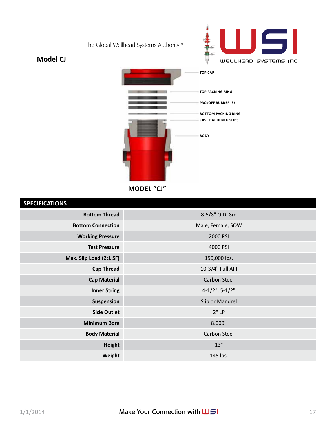

#### **Model CJ**



**MODEL "CJ"** 

## **SPECIFICATIONS Bottom Thread** 8-5/8" O.D. 8rd **Bottom Connection** Male, Female, SOW **Working Pressure** 2000 PSI **Test Pressure** 4000 PSI **Max. Slip Load (2:1 SF)** 150,000 lbs. **Cap Thread** 10-3/4" Full API **Cap Material** Carbon Steel **Inner String**  $4-1/2$ ", 5-1/2" **Suspension** Suspension Suspension Slip or Mandrel **Side Outlet** 2" LP **Minimum Bore** 8.000" **Body Material** Carbon Steel **Height** 13" and 13" **Weight 145 lbs.**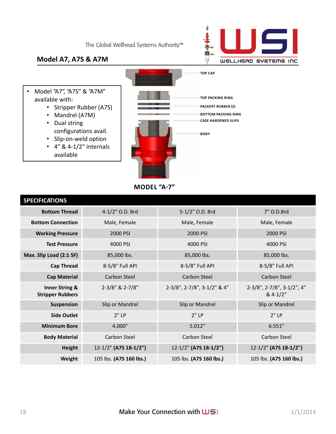

### **Model A7, A7S & A7M**

- Model "A7", "A7S" & "A7M" available with:
	- Stripper Rubber (A7S)
	- Mandrel (A7M)
	- Dual string configurations avail.
	- Slip-on-weld option
	- $\cdot$  4" & 4-1/2" internals available



**MODEL "A-7"** 

| <b>SPECIFICATIONS</b>                                |                         |                             |                                            |
|------------------------------------------------------|-------------------------|-----------------------------|--------------------------------------------|
| <b>Bottom Thread</b>                                 | 4-1/2" O.D. 8rd         | 5-1/2" O.D. 8rd             | 7" O.D.8rd                                 |
| <b>Bottom Connection</b>                             | Male, Female            | Male, Female                | Male, Female                               |
| <b>Working Pressure</b>                              | 2000 PSI                | 2000 PSI                    | 2000 PSI                                   |
| <b>Test Pressure</b>                                 | 4000 PSI                | 4000 PSI                    | 4000 PSI                                   |
| Max. Slip Load (2:1 SF)                              | 85,000 lbs.             | 85,000 lbs.                 | 85,000 lbs.                                |
| <b>Cap Thread</b>                                    | 8-5/8" Full API         | 8-5/8" Full API             | 8-5/8" Full API                            |
| <b>Cap Material</b>                                  | Carbon Steel            | <b>Carbon Steel</b>         | <b>Carbon Steel</b>                        |
| <b>Inner String &amp;</b><br><b>Stripper Rubbers</b> | 2-3/8" & 2-7/8"         | 2-3/8", 2-7/8", 3-1/2" & 4" | 2-3/8", 2-7/8", 3-1/2", 4"<br>$8.4 - 1/2"$ |
| <b>Suspension</b>                                    | Slip or Mandrel         | Slip or Mandrel             | Slip or Mandrel                            |
| <b>Side Outlet</b>                                   | 2"LP                    | 2"LP                        | 2"LP                                       |
| <b>Minimum Bore</b>                                  | 4.000"                  | 5.012"                      | 6.551"                                     |
| <b>Body Material</b>                                 | Carbon Steel            | Carbon Steel                | Carbon Steel                               |
| Height                                               | 12-1/2" (A7S 18-1/2")   | 12-1/2" (A7S 18-1/2")       | 12-1/2" (A7S 18-1/2")                      |
| Weight                                               | 105 lbs. (A7S 160 lbs.) | 105 lbs. (A7S 160 lbs.)     | 105 lbs. (A7S 160 lbs.)                    |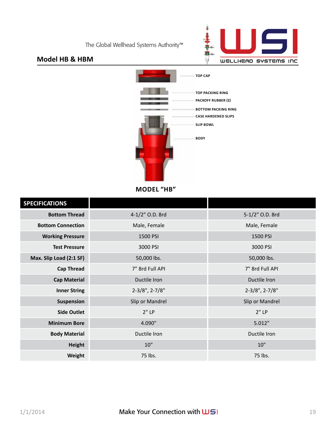

#### **Model HB & HBM**



**MODEL "HB"** 

| <b>SPECIFICATIONS</b>    |                      |                         |
|--------------------------|----------------------|-------------------------|
| <b>Bottom Thread</b>     | 4-1/2" O.D. 8rd      | 5-1/2" O.D. 8rd         |
| <b>Bottom Connection</b> | Male, Female         | Male, Female            |
| <b>Working Pressure</b>  | 1500 PSI             | 1500 PSI                |
| <b>Test Pressure</b>     | 3000 PSI             | 3000 PSI                |
| Max. Slip Load (2:1 SF)  | 50,000 lbs.          | 50,000 lbs.             |
| <b>Cap Thread</b>        | 7" 8rd Full API      | 7" 8rd Full API         |
| <b>Cap Material</b>      | Ductile Iron         | Ductile Iron            |
| <b>Inner String</b>      | $2-3/8$ ", $2-7/8$ " | $2 - 3/8"$ , $2 - 7/8"$ |
| Suspension               | Slip or Mandrel      | Slip or Mandrel         |
| <b>Side Outlet</b>       | $2"$ LP              | 2"LP                    |
| <b>Minimum Bore</b>      | 4.090"               | 5.012"                  |
| <b>Body Material</b>     | Ductile Iron         | Ductile Iron            |
| Height                   | 10"                  | 10"                     |
| Weight                   | 75 lbs.              | 75 lbs.                 |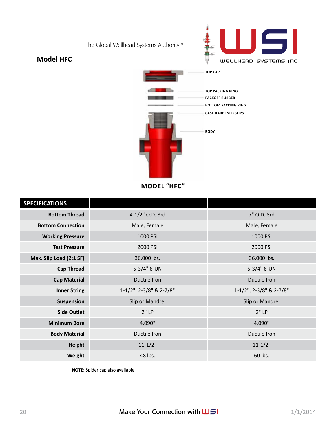

#### **Model HFC**



**MODEL "HFC"** 

| <b>SPECIFICATIONS</b>    |                         |                         |
|--------------------------|-------------------------|-------------------------|
| <b>Bottom Thread</b>     | 4-1/2" O.D. 8rd         | 7" O.D. 8rd             |
| <b>Bottom Connection</b> | Male, Female            | Male, Female            |
| <b>Working Pressure</b>  | 1000 PSI                | 1000 PSI                |
| <b>Test Pressure</b>     | 2000 PSI                | 2000 PSI                |
| Max. Slip Load (2:1 SF)  | 36,000 lbs.             | 36,000 lbs.             |
| <b>Cap Thread</b>        | 5-3/4" 6-UN             | 5-3/4" 6-UN             |
| <b>Cap Material</b>      | Ductile Iron            | Ductile Iron            |
| <b>Inner String</b>      | 1-1/2", 2-3/8" & 2-7/8" | 1-1/2", 2-3/8" & 2-7/8" |
| Suspension               | Slip or Mandrel         | Slip or Mandrel         |
| <b>Side Outlet</b>       | 2"LP                    | 2"LP                    |
| <b>Minimum Bore</b>      | 4.090"                  | 4.090"                  |
| <b>Body Material</b>     | Ductile Iron            | Ductile Iron            |
| <b>Height</b>            | $11 - 1/2"$             | $11 - 1/2"$             |
| Weight                   | 48 lbs.                 | 60 lbs.                 |

**NOTE:** Spider cap also available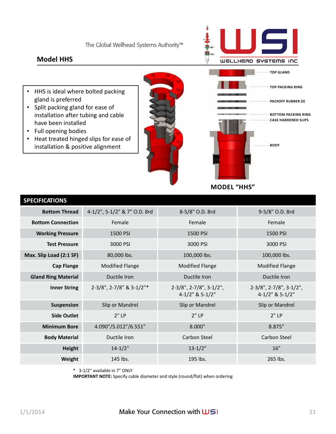### **Model HHS**



- HHS is ideal where bolted packing gland is preferred
- Split packing gland for ease of installation after tubing and cable have been installed
- Full opening bodies
- Heat treated hinged slips for ease of installation & positive alignment

**MODEL "HHS"** 

| <b>SPECIFICATIONS</b>      |                              |                                                        |                                                     |
|----------------------------|------------------------------|--------------------------------------------------------|-----------------------------------------------------|
| <b>Bottom Thread</b>       | 4-1/2", 5-1/2" & 7" O.D. 8rd | 8-5/8" O.D. 8rd                                        | 9-5/8" O.D. 8rd                                     |
| <b>Bottom Connection</b>   | Female                       | Female                                                 | Female                                              |
| <b>Working Pressure</b>    | 1500 PSI                     | 1500 PSI                                               | 1500 PSI                                            |
| <b>Test Pressure</b>       | 3000 PSI                     | 3000 PSI                                               | 3000 PSI                                            |
| Max. Slip Load (2:1 SF)    | 80,000 lbs.                  | 100,000 lbs.                                           | 100,000 lbs.                                        |
| <b>Cap Flange</b>          | <b>Modified Flange</b>       | <b>Modified Flange</b>                                 | <b>Modified Flange</b>                              |
| <b>Gland Ring Material</b> | Ductile Iron                 | Ductile Iron                                           | Ductile Iron                                        |
| <b>Inner String</b>        | 2-3/8", 2-7/8" & 3-1/2"*     | $2-3/8$ ", $2-7/8$ ", $3-1/2$ ",<br>$4-1/2$ " & 5-1/2" | $2-3/8$ ", $2-7/8$ ", $3-1/2$ ",<br>4-1/2" & 5-1/2" |
| Suspension                 | Slip or Mandrel              | Slip or Mandrel                                        | Slip or Mandrel                                     |
| <b>Side Outlet</b>         | 2"LP                         | 2"LP                                                   | $2"$ LP                                             |
| <b>Minimum Bore</b>        | 4.090"/5.012"/6.551"         | 8.000"                                                 | 8.875"                                              |
| <b>Body Material</b>       | Ductile Iron                 | Carbon Steel                                           | Carbon Steel                                        |
| <b>Height</b>              | $14 - 1/2"$                  | $13 - 1/2"$                                            | 16"                                                 |
| Weight                     | 145 lbs.                     | 195 lbs.                                               | 265 lbs.                                            |

\* 3-1/2" available in 7" ONLY

**IMPORTANT NOTE:** Specify cable diameter and style (round/flat) when ordering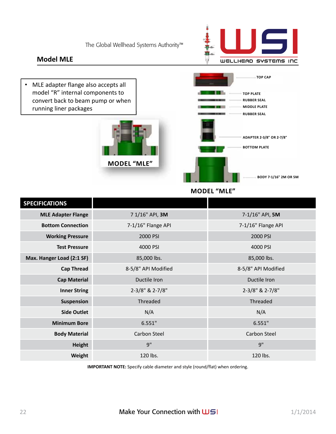#### **Model MLE**



• MLE adapter flange also accepts all model "R" internal components to convert back to beam pump or when running liner packages





**MODEL "MLE"** 

| <b>SPECIFICATIONS</b>     |                     |                     |
|---------------------------|---------------------|---------------------|
| <b>MLE Adapter Flange</b> | 7 1/16" API, 3M     | 7-1/16" API, 5M     |
| <b>Bottom Connection</b>  | 7-1/16" Flange API  | 7-1/16" Flange API  |
| <b>Working Pressure</b>   | 2000 PSI            | 2000 PSI            |
| <b>Test Pressure</b>      | 4000 PSI            | 4000 PSI            |
| Max. Hanger Load (2:1 SF) | 85,000 lbs.         | 85,000 lbs.         |
| <b>Cap Thread</b>         | 8-5/8" API Modified | 8-5/8" API Modified |
| <b>Cap Material</b>       | Ductile Iron        | Ductile Iron        |
| <b>Inner String</b>       | 2-3/8" & 2-7/8"     | 2-3/8" & 2-7/8"     |
| Suspension                | Threaded            | Threaded            |
| <b>Side Outlet</b>        | N/A                 | N/A                 |
| <b>Minimum Bore</b>       | 6.551"              | 6.551"              |
| <b>Body Material</b>      | <b>Carbon Steel</b> | <b>Carbon Steel</b> |
| <b>Height</b>             | q''                 | q''                 |
| Weight                    | 120 lbs.            | 120 lbs.            |

**IMPORTANT NOTE:** Specify cable diameter and style (round/flat) when ordering.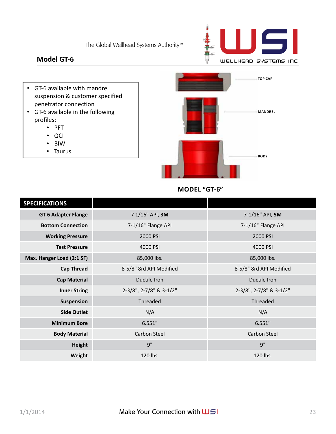

### **Model GT-6**

- GT-6 available with mandrel suspension & customer specified penetrator connection
- GT-6 available in the following profiles:
	- PFT
	- QCI
	- BIW
	- Taurus



#### **MODEL "GT-6"**

| <b>SPECIFICATIONS</b>      |                         |                         |
|----------------------------|-------------------------|-------------------------|
| <b>GT-6 Adapter Flange</b> | 7 1/16" API, 3M         | 7-1/16" API, 5M         |
| <b>Bottom Connection</b>   | 7-1/16" Flange API      | 7-1/16" Flange API      |
| <b>Working Pressure</b>    | 2000 PSI                | 2000 PSI                |
| <b>Test Pressure</b>       | 4000 PSI                | 4000 PSI                |
| Max. Hanger Load (2:1 SF)  | 85,000 lbs.             | 85,000 lbs.             |
| <b>Cap Thread</b>          | 8-5/8" 8rd API Modified | 8-5/8" 8rd API Modified |
| <b>Cap Material</b>        | Ductile Iron            | Ductile Iron            |
| <b>Inner String</b>        | 2-3/8", 2-7/8" & 3-1/2" | 2-3/8", 2-7/8" & 3-1/2" |
| Suspension                 | Threaded                | Threaded                |
| <b>Side Outlet</b>         | N/A                     | N/A                     |
| <b>Minimum Bore</b>        | 6.551"                  | 6.551"                  |
| <b>Body Material</b>       | Carbon Steel            | Carbon Steel            |
| <b>Height</b>              | 9"                      | 9"                      |
| Weight                     | 120 lbs.                | 120 lbs.                |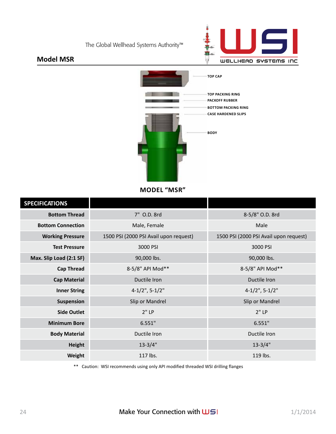

### **Model MSR**



**MODEL "MSR"** 

| <b>SPECIFICATIONS</b>    |                                        |                                        |
|--------------------------|----------------------------------------|----------------------------------------|
| <b>Bottom Thread</b>     | 7" O.D. 8rd                            | 8-5/8" O.D. 8rd                        |
| <b>Bottom Connection</b> | Male, Female                           | Male                                   |
| <b>Working Pressure</b>  | 1500 PSI (2000 PSI Avail upon request) | 1500 PSI (2000 PSI Avail upon request) |
| <b>Test Pressure</b>     | 3000 PSI                               | 3000 PSI                               |
| Max. Slip Load (2:1 SF)  | 90,000 lbs.                            | 90,000 lbs.                            |
| <b>Cap Thread</b>        | 8-5/8" API Mod**                       | 8-5/8" API Mod**                       |
| <b>Cap Material</b>      | Ductile Iron                           | Ductile Iron                           |
| <b>Inner String</b>      | $4-1/2$ ", 5-1/2"                      | $4-1/2$ ", 5-1/2"                      |
| Suspension               | Slip or Mandrel                        | Slip or Mandrel                        |
| <b>Side Outlet</b>       | 2"LP                                   | 2"LP                                   |
| <b>Minimum Bore</b>      | 6.551"                                 | 6.551"                                 |
| <b>Body Material</b>     | Ductile Iron                           | Ductile Iron                           |
| <b>Height</b>            | $13 - 3/4"$                            | $13 - 3/4"$                            |
| Weight                   | 117 lbs.                               | 119 lbs.                               |

\*\* Caution: WSI recommends using only API modified threaded WSI drilling flanges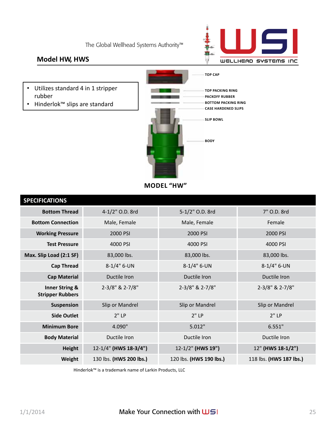

### **Model HW, HWS**

- Utilizes standard 4 in 1 stripper rubber
- Hinderlok™ slips are standard



**MODEL "HW"** 

| <b>SPECIFICATIONS</b>                                |                         |                         |                         |
|------------------------------------------------------|-------------------------|-------------------------|-------------------------|
| <b>Bottom Thread</b>                                 | 4-1/2" O.D. 8rd         | 5-1/2" O.D. 8rd         | 7" O.D. 8rd             |
| <b>Bottom Connection</b>                             | Male, Female            | Male, Female            | Female                  |
| <b>Working Pressure</b>                              | 2000 PSI                | 2000 PSI                | 2000 PSI                |
| <b>Test Pressure</b>                                 | 4000 PSI                | 4000 PSI                | 4000 PSI                |
| Max. Slip Load (2:1 SF)                              | 83,000 lbs.             | 83,000 lbs.             | 83,000 lbs.             |
| <b>Cap Thread</b>                                    | $8-1/4$ " 6-UN          | $8-1/4$ " 6-UN          | $8-1/4$ " 6-UN          |
| <b>Cap Material</b>                                  | Ductile Iron            | Ductile Iron            | Ductile Iron            |
| <b>Inner String &amp;</b><br><b>Stripper Rubbers</b> | 2-3/8" & 2-7/8"         | 2-3/8" & 2-7/8"         | 2-3/8" & 2-7/8"         |
| Suspension                                           | Slip or Mandrel         | Slip or Mandrel         | Slip or Mandrel         |
| <b>Side Outlet</b>                                   | $2"$ LP                 | 2"LP                    | 2"LP                    |
| <b>Minimum Bore</b>                                  | 4.090"                  | 5.012"                  | 6.551"                  |
| <b>Body Material</b>                                 | Ductile Iron            | Ductile Iron            | Ductile Iron            |
| <b>Height</b>                                        | 12-1/4" (HWS 18-3/4")   | 12-1/2" (HWS 19")       | 12" (HWS 18-1/2")       |
| Weight                                               | 130 lbs. (HWS 200 lbs.) | 120 lbs. (HWS 190 lbs.) | 118 lbs. (HWS 187 lbs.) |

Hinderlok™ is a trademark name of Larkin Products, LLC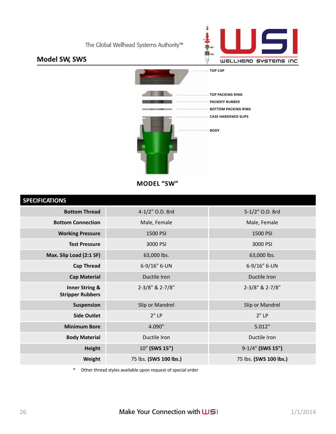

### **Model SW, SWS**



**MODEL "SW"** 

| <b>SPECIFICATIONS</b>                                |                        |                        |
|------------------------------------------------------|------------------------|------------------------|
| <b>Bottom Thread</b>                                 | 4-1/2" O.D. 8rd        | 5-1/2" O.D. 8rd        |
| <b>Bottom Connection</b>                             | Male, Female           | Male, Female           |
| <b>Working Pressure</b>                              | 1500 PSI               | 1500 PSI               |
| <b>Test Pressure</b>                                 | 3000 PSI               | 3000 PSI               |
| Max. Slip Load (2:1 SF)                              | 63,000 lbs.            | 63,000 lbs.            |
| <b>Cap Thread</b>                                    | 6-9/16" 6-UN           | 6-9/16" 6-UN           |
| <b>Cap Material</b>                                  | Ductile Iron           | Ductile Iron           |
| <b>Inner String &amp;</b><br><b>Stripper Rubbers</b> | 2-3/8" & 2-7/8"        | 2-3/8" & 2-7/8"        |
| Suspension                                           | Slip or Mandrel        | Slip or Mandrel        |
| <b>Side Outlet</b>                                   | 2"LP                   | 2"LP                   |
| <b>Minimum Bore</b>                                  | 4.090"                 | 5.012"                 |
| <b>Body Material</b>                                 | Ductile Iron           | Ductile Iron           |
| <b>Height</b>                                        | 10" (SWS 15")          | 9-1/4" (SWS 15")       |
| Weight                                               | 75 lbs. (SWS 100 lbs.) | 75 lbs. (SWS 100 lbs.) |

\* Other thread styles available upon request of special order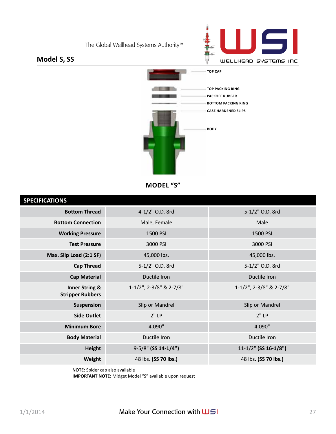

### **Model S, SS**



**MODEL "S"** 

| <b>SPECIFICATIONS</b>                                |                         |                           |
|------------------------------------------------------|-------------------------|---------------------------|
| <b>Bottom Thread</b>                                 | 4-1/2" O.D. 8rd         | 5-1/2" O.D. 8rd           |
| <b>Bottom Connection</b>                             | Male, Female            | Male                      |
| <b>Working Pressure</b>                              | 1500 PSI                | 1500 PSI                  |
| <b>Test Pressure</b>                                 | 3000 PSI                | 3000 PSI                  |
| Max. Slip Load (2:1 SF)                              | 45,000 lbs.             | 45,000 lbs.               |
| <b>Cap Thread</b>                                    | 5-1/2" O.D. 8rd         | 5-1/2" O.D. 8rd           |
| <b>Cap Material</b>                                  | Ductile Iron            | Ductile Iron              |
| <b>Inner String &amp;</b><br><b>Stripper Rubbers</b> | 1-1/2", 2-3/8" & 2-7/8" | 1-1/2", 2-3/8" & 2-7/8"   |
| Suspension                                           | Slip or Mandrel         | Slip or Mandrel           |
| <b>Side Outlet</b>                                   | 2"LP                    | 2"LP                      |
| <b>Minimum Bore</b>                                  | 4.090"                  | 4.090"                    |
| <b>Body Material</b>                                 | Ductile Iron            | Ductile Iron              |
| <b>Height</b>                                        | 9-5/8" (SS 14-1/4")     | $11 - 1/2$ " (SS 16-1/8") |
| Weight                                               | 48 lbs. (SS 70 lbs.)    | 48 lbs. (SS 70 lbs.)      |

**NOTE:** Spider cap also available

**IMPORTANT NOTE:** Midget Model "S" available upon request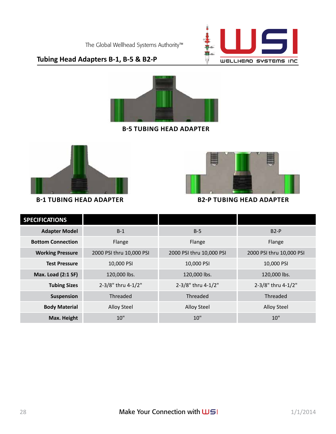

### **Tubing Head Adapters B-1, B-5 & B2-P**



**b-5 tubing head adapter**





**b-1 tubing head adapter b2-p tubing head adapter**

| <b>SPECIFICATIONS</b>     |                          |                          |                          |
|---------------------------|--------------------------|--------------------------|--------------------------|
| <b>Adapter Model</b>      | $B-1$                    | $B-5$                    | $B2-P$                   |
| <b>Bottom Connection</b>  | Flange                   | Flange                   | Flange                   |
| <b>Working Pressure</b>   | 2000 PSI thru 10,000 PSI | 2000 PSI thru 10,000 PSI | 2000 PSI thru 10,000 PSI |
| <b>Test Pressure</b>      | 10,000 PSI               | 10,000 PSI               | 10,000 PSI               |
| <b>Max. Load (2:1 SF)</b> | 120,000 lbs.             | 120,000 lbs.             | 120,000 lbs.             |
| <b>Tubing Sizes</b>       | 2-3/8" thru 4-1/2"       | 2-3/8" thru 4-1/2"       | 2-3/8" thru 4-1/2"       |
| Suspension                | Threaded                 | Threaded                 | Threaded                 |
| <b>Body Material</b>      | <b>Alloy Steel</b>       | Alloy Steel              | Alloy Steel              |
| Max. Height               | 10"                      | 10"                      | 10"                      |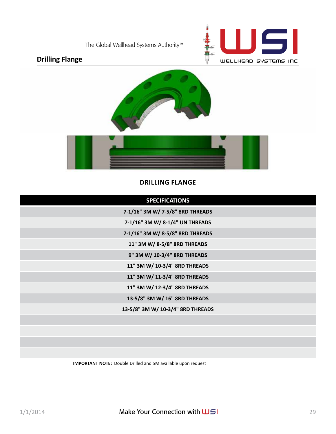

## **Drilling Flange**





#### **DRILLING FLANGE**

| <b>SPECIFICATIONS</b>             |
|-----------------------------------|
| 7-1/16" 3M W/ 7-5/8" 8RD THREADS  |
| 7-1/16" 3M W/ 8-1/4" UN THREADS   |
| 7-1/16" 3M W/ 8-5/8" 8RD THREADS  |
| 11" 3M W/ 8-5/8" 8RD THREADS      |
| 9" 3M W/ 10-3/4" 8RD THREADS      |
| 11" 3M W/ 10-3/4" 8RD THREADS     |
| 11" 3M W/ 11-3/4" 8RD THREADS     |
| 11" 3M W/ 12-3/4" 8RD THREADS     |
| 13-5/8" 3M W/ 16" 8RD THREADS     |
| 13-5/8" 3M W/ 10-3/4" 8RD THREADS |
|                                   |
|                                   |
|                                   |
|                                   |

**IMPORTANT NOTE:** Double Drilled and 5M available upon request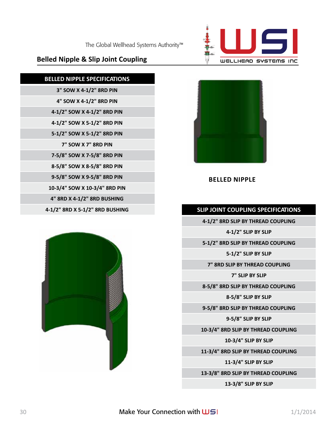

#### **13-3/8" SLIP BY SLIP**

**13-3/8" 8RD SLIP BY THREAD COUPLING**

**11-3/4" SLIP BY SLIP**

**11-3/4" 8RD SLIP BY THREAD COUPLING**

**10-3/4" SLIP BY SLIP**

**10-3/4" 8RD SLIP BY THREAD COUPLING**

**9-5/8" SLIP BY SLIP**

**9-5/8" 8RD SLIP BY THREAD COUPLING**

**8-5/8" SLIP BY SLIP**

**8-5/8" 8RD SLIP BY THREAD COUPLING**

**7" SLIP BY SLIP**

**7" 8RD SLIP BY THREAD COUPLING**





**4-1/2" 8RD SLIP BY THREAD COUPLING 4-1/2" SLIP BY SLIP**







**BELLED NIPPLE**

## **Belled Nipple & Slip Joint Coupling**

**BELLED NIPPLE SPECIFICATIONS**

**3" SOW X 4-1/2" 8RD PIN**

**4" SOW X 4-1/2" 8RD PIN 4-1/2" SOW X 4-1/2" 8RD PIN**

**4-1/2" SOW X 5-1/2" 8RD PIN 5-1/2" SOW X 5-1/2" 8RD PIN 7" SOW X 7" 8RD PIN**

**7-5/8" SOW X 7-5/8" 8RD PIN 8-5/8" SOW X 8-5/8" 8RD PIN**

**9-5/8" SOW X 9-5/8" 8RD PIN 10-3/4" SOW X 10-3/4" 8RD PIN 4" 8RD X 4-1/2" 8RD BUSHING**



**4-1/2" 8RD X 5-1/2" 8RD BUSHING SLIP JOINT COUPLING SPECIFICATIONS**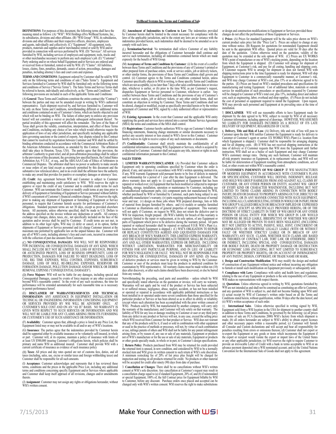DEFINITIONS: For purposes of this document, the following terms shall have the<br>meaning stated as follows: (A) "WSI": WSI Holdings d/b/a Wellhead Systems, Inc.,<br>its subsidiaries, divisions and other affiliates. (B) "WSI Gro divisions and other affiliates and their respective officers, directors, employees and agents, individually and collectively. (C) "Equipment": All equipment, tools, products, materials and supplies and/or merchandise rented or sold by WSI and/or provided in connection with services performed by WSI. (D) "Services": All services furnished by WSI, including services of employees and equipment, tools, trucks and/ or other merchandise necessary to perform any such employee's job. (E) "Customer":<br>Party ordering and/or on whose behalf Equipment and/or Services are ordered and/<br>or received from or furnished, rented or sold by WSI. (F) losses, claims, fines, penalties, demands, causes of action, proceedings, damages and penalties, including attorney's fees and court costs and expenses.

**TERMS AND CONDITIONS**: Equipment ordered by Customer shall be sold by WSI only on the following terms and conditions of sale ("Sales Terms"). Equipment and Services furnished to Customer by WSI shall be furnished only on the following terms and conditions of Service ("Service Terms"). The Sales Terms and Service Terms shall be referred to herein, individually and collectively, as the "Terms and Conditions". The following provisions are included in each of the applicable Terms and Conditions:

(A) **General**: These Terms and Conditions constitute the entire contract (the "Contract") between the parties and may not be amended except in writing by WSI's authorized representative. Each shipment received by, and Services furnished to, Customer will be only on these Terms and Conditions, notwithstanding different or additional terms and conditions contained on any of Customer's forms, which are hereby objected to and which will not be binding on WSI. The failure of either party to enforce any provision hereof will not constitute a waiver or preclude subsequent enforcement thereof. No<br>partial invalidity of this agreement will affect the remainder. The laws of the State of<br>Texas shall govern the validity, construction, int and Conditions, excluding any choice of law rules which would otherwise require the<br>application of laws of any other jurisdiction, and specifically including any applicable<br>laws governing sanctions or the control of export that cannot be resolved by negotiation between Customer and WSI shall be settled by binding arbitration conducted in accordance with the Commercial Arbitration Rules of the American Arbitration Association, as amended by this Contract. The arbitration<br>shall take place in Houston, Texas, USA. The parties agree that this provision, the<br>arbitrator's authority to grant relief, and all post-ar Commercial Disputes. The arbitrator shall have no power or authority to make awards<br>or issue orders of any kind except as expressly permitted by this document and the<br>substantive law referenced above, and in no event shall to make any award that provides for punitive or exemplary damages or attorneys' fees. (B) **Credit**: Any agreement between WSI and Customer is subject to Customer establishing and maintaining credit satisfactory to WSI. WSI reserves the right to<br>approve or reject the credit of any Customer and to establish credit terms for each<br>Customer. WSI can terminate this Contract or modify cre delivery of Equipment or furnishing of Equipment or Service personnel without liability if WSI's assessment of Customer's financial condition changes. WSI reserves the right, prior to making any shipment of Equipment or furnishing of Equipment or Service<br>personnel, to require that Customer furnish security for performance of Customer's<br>obligations. Standard payment terms are net 30 days, except herein. All payments, unless otherwise specified, shall be made in U.S. Dollars to the address specified on the invoice without any deductions or setoffs. All currency exchange rate changes, duties, taxes, etc., not specifically included on the face of the<br>quotation and/or invoice shall be paid by Customer. If reedit terms are not met, in<br>addition to its other legal rights, WSI may (i) d shipments of Equipment or Service personnel and (ii) charge Customer interest at the<br>maximum rate permitted by applicable law on the unpaid balance due. Customer will<br>pay all of WSI's costs, including attorney's fees and c

(C) **NO CONSEQUENTIAL DAMAGES**: WSI WILL NOT BE RESPONSIBLE FOR INCIDENTAL OR CONSEQUENTIAL DAMAGES OF ANY KIND, WHICH SHALL INCLUDE BUT NOT BE LIMITED TO, LOSS OF REVENUE, PROFITS OR ANTICIPATED PROFITS, LOSS OF BUSINESS OPPORTUNITY, LOSS OF PRODUCTION, DAMAGES FOR FAILURE TO MEET DEADLINES, LOSS OF USE, RIG TIME EXPENSES, WELL CONTROL EXPENSES, SUBSURFACE DAMAGE, LOSS OF HOLE, RE-DRILLING EXPENSES, RESERVOIR OR FORMATION DAMAGE, POLLUTION DAMAGE AND/OR WRECK OR DEBRIS REMOVAL EXPENSE ("CONSEQUENTIAL DAMAGES").

(D) **Force Majeure**: WSI will not be liable for any damages, including special and Consequential Damages, caused by events of force majeure or any other occurrences<br>beyond WSI's reasonable control. In the event of any such occurrence, the time for<br>performance will be extended automatically for such reaso

(E) **DISCLAIMER OF WARRANTIES/SERVICES AND TECHNICAL**<br>I**NFORMATION**: ANY ASSISTANCE IN EQUIPMENT INSTALLATION OR<br>TECHNICAL OR ENGINEERING INFORMATION CONCERNING EQUIPMENT OR SERVICES PROVIDED BY WSI WILL BE ADVISORY ONLY, AT CUSTOMER'S SOLE COST AND ON AN "AS IS" BASIS. NO WARRANTY IS GIVEN WITH RESPECT TO SUCH SERVICES OR INFORMATION AND WSI WILL NOT BE LIABLE FOR ANY CLAIMS ARISING FROM ITS FURNISHING OR CUSTOMER'S USE OF SUCH ASSISTANCE OR INFORMATION.

(F) **Availability**: Customer agrees that, although a price is listed in any Price List, the Equipment listed may or may not be available in all and/or any of WSI's locations.

(G) **Insurance**: The parties agree that the indemnities provided by Customer herein shall be supported either by available insurance or be voluntarily self-insured, in whole or part. Customer will, at its expense, maintain a policy of insurance with limits of at least US \$500,000 insuring Customer's obligations herein, which policies shall be<br>primary and name WSI as additional insured. Customer shall provide WSI with a<br>current certificate of insurance as evidence of such insura

(H) **Taxes**: All prices and day rates quoted are net of customs fees, duties, and all<br>taxes (including, sales, use, excise or similar taxes and foreign withholding taxes) and<br>Customer shall be responsible for all such amou

(I) **Acceptance**: Customer acknowledges and represents that it has reviewed these terms, conditions and the prices in the applicable Price List, including any additional terms and conditions concerning specific Equipment and/or Services where applicable and Customer shall keep itself apprised of all revisions, changes and/or amendments thereto.

(J) **Assignment**: Customer may not assign any rights or obligations hereunder, without WSI's written consent.

(K) **Amendment of Indemnities to Conform to Law**: The indemnities provided by Customer herein shall be limited to the extent necessary for compliance with the laws of the applicable jurisdiction, and to the extent any laws are at variance with the indemnities provided herein, such indemnities shall be deemed to be amended so as to comply with such laws.

(L) **Termination/Survival**: No termination shall relieve Customer of any liability incurred hereunder and the obligations of Customer hereunder shall continue and survive such termination, including all indemnities contained herein which are made expressly for the benefit of WSI Group.

(M) **Acceptance of Terms and Conditions by Customer**: (i) In the event of a conflict between these Terms and Conditions and the provisions of any of Customer's printed or other prepared form of purchase orders, work or service orders, job or delivery tickets, or other similar forms, the provisions of these Terms and Conditions shall govern and control. (ii) Customer agrees to the Terms and Conditions contained herein, unless control. (ii) Customer agrees to the 1erms and Conditions contained herein, unless<br>Customer specifically objects to WSI in writing, to those specific Ferms and Conditions<br>which are not acceptable, (a) no later than 7 days dispatches Equipment or Service personnel to Customer, whichever is earlier. Any flict between these Terms and Conditions and the provisions of any of Customer's work or service orders, job or delivery tickets, or any other similar forms, shall not constitute an objection in writing by Customer. These Terms and Conditions shall not be altered, changed or modified, except as specifi of WSI.

(N) **Existing Agreements**: In the event that Customer and the applicable WSI entity supplying the goods and services have entered into a current Master Service Agreement (MSA) the terms and conditions of the MSA shall control.

(O) **Registrations**: Customer hereby authorizes WSI to sign on Customer's behalf any financing statements, financing change statements or similar documents necessary to reby waives its right to receive copies of any such statements or documents.

(P) **Confidentiality**: Customer shall strictly maintain the confidentiality of all confidential information concerning WSI, Equipment or Services, which is acquired by or disclosed to Customer. Customer shall not acquire any title, interest or rights in such confidential information pursuant to this Contract.

#### **SALES TERMS**

1. **LIMITED WARRANTY/DISCLAIMER**: (A) Provided that Customer subjects Equipment only to operating conditions specified by Customer when the order is<br>placed, if any, and operates it in accordance with WSI's written operating instructions,<br>if any, WSI warrants Equipment sold pursuant hereto to and workmanship for a period of 1 year after the date Equipment is delivered. The above warranty does not apply to: (i) used Equipment or Equipment that has been repaired or worked over; (ii) Equipment that has been modified or subjected to improper handling, storage, installation, operation or maintenance by Customer, including use of unauthorized replacement parts; (iii) component parts not manufactured by WSI, whether purchased by WSI or furmshed by Customer, such parts being subject to any approach weak wear and ear; (v) design on those jobs where WSI prepared drawings, lists or bills of materal from designs furnished by others ANY BREACH OF WSI'S WARRANTY. THIS LIMITED EXPRESS WARRANTY, AND THE STATED REMEDIES FOR BREACH THEREOF, SHALL BE IN LIEU OF ANY AND ALL OTHER WARRANTIES, EXPRESS OR IMPLIED, INCLUDING WITHOUT LIMITATION, WARRANTIES FOR MERCHANTABILITY OR FITNESS FOR ANY PARTICULAR PURPOSE, AND IN LIEU OF LIABILITY FOR WSI'S NEGLIGENCE OR FAULT. WSI WILL NOT BE RESPONSIBLE FOR INCIDENTAL OR CONSEQUENTIAL DAMAGES OF ANY KIND. (D) Notice of defective products or services must be given in writing to WSI by the Customer.<br>Customer or user of the products must keep the products in unaltered condition for<br>examination by WSI representative. All warranty claims m days after discovery, or after such claims should have been discovered, or else be barred from any remedy.

Notwithstanding the preceding, used parts and assemblies – unless rebuilt by WSI and specifically stated otherwise on the quotation or invoice, will carry no warranty. Warranties will not apply and be void if the product or Service has been subjected to or suffered misuse, negligence, abuse, neglect, accident, or has not been installed or operated or repaired in accordance with applicable published instructions or has been installed in or operated under more severe conditions than those specified for the particular product or Service or has been altered so as to affect its ability or reliability (except where such alteration has been accomplished with the prior written consent of WSI). Products sold by WSI, but manufactured by another company, will carry only the warranty of the manufacturer, and Customer will rely solely on that warranty. The liability of WSI for any loss or damage resulting to Customer or user or any third party from any defect in any product or Service will not, in any case, exceed the selling price<br>which WSI received from Customer for that product or Service. WSI does not warrant<br>that any of the products sold by it, if used or s or used in the practice of methods or processes, will not, by virtue of such combination or use, infringe patents of others and WSI shall not be liable for any patent infringement arising from, or by reason of, any use or sale of any materials, Equipment or products<br>not of WSI's manufacture or for the use or sale of any materials, Equipment or products<br>or other goods specially made, in whole or in p

2. **Return Policy**: Products purchased from WSI may be returned for credit provided the returned item is unused, in new condition, and considered by WSI to be a normally stocked item and WSI gives its written consent to such return at WSI's sole discretion. A minimum restocking fee of 20% of list price plus freight will be charged for inspection and testing on all products returned for credit. No products or other material will be accepted for credit after ninety (90) days from date of purchase.

3. **Cancellation or Changes**: There shall be no cancellations without WSI's written consent at WSI's sole discretion. Any cancellation at Customer's request may result in a cancellation charge equal to (a) if standard Equipment, 20% of, and (b) if nonstandard or special Equipment, 100% of, the full Contract price for Equipment billable by WSI to Customer, before any discount. Purchase orders once placed and accepted can be changed only with WSI's written consent. WSI reserves the right to make substitutions

or design and construction modifications to Equipment or Services provided these changes do not affect the performance of those Equipment or Servic

4. Prices: (A) Prices for standard Equipment will be the sales price shown on WSI's<br>current product sales price list (the "Price List"). Prices are subject to change at any<br>time without notice. (B) Requests for quotations date of the quotation. Unless otherwise noted on the quotation, validity of the quotation may be extended at the sole option of WSI. (C) Prices are EX WORKS yount of manufacture or one of WSI's stocking point, depending on Equipment, at Customer's risk, and pay for all crating, handling and shipping costs<br>If Customer requests WSI to arrange for shipment or does not furnish WSI with<br>shipping instructions prior to the time Equipment is ready f the parties. (E) Prices are based on WSI's standard procedures and specifications for manufacturing and testing Equipment. Cost of additional labor, materials or outside service for modification of such procedures or specifications requested by Customer<br>will be charged to Customer at WSI's total cost, plus 15%, including direct and indirect<br>cost, such as engineering, labor, overhead and sh *installation* 

5. **DISCLAIMER**: WSI will use reasonable efforts to have Equipment ready for shipment by the date agreed to by WSI, subject to receipt by WSI of all necessary Customer information, including approval of drawings. HOWEVER, WSI ASSUMES<br>NO LIABILITY FOR DAMAGES INCURRED AS A RESULT OF ITS LATE<br>DELIVERY OF EQUIPMENT, REGARDLESS OF CAUSE.

6. **Delivery, Title and Risk of Loss**: (A) Delivery, title and risk of loss will pass to Customer upon the date WSI notifies Customer the Equipment is ready for delivery to<br>Customer or Customer's agent or carrier. EX WORKS WSI's Plant (i.e. location from<br>which Equipment is shipped.) Customer shall be responsib time of delivery or if Customer requests that WSI store the Equipment until further<br>instruction, WSI shall act as a bailee of such Equipment and may charge Customer<br>WSI's customary storage rates. During any such bailment, all-risk property insurance on Equipment, at its replacement value, and WSI will not<br>be liable for deterioration of Equipment resulting from atmospheric conditions, acts of<br>God, or other events not within WSI's reasonable

7. **CUSTOMER'S INDEMNITY OF WSI GROUP**: IF WSI MANUFACTURES OR MODIFIES EQUIPMENT IN ACCORDANCE WITH CUSTOMER'S PLANS OR SPECIFICATIONS, CUSTOMER WILL DEFEND, INDEMNIFY, RELEASE AND HOLD WSI GROUP HARMLESS FROM AND AGAINST ALL CLAIMS BY<br>CUSTOMER, OR ANY OTHER PERSON OR ENTITY, AGAINST WSI GROUP<br>OF EVERY KIND OR CHARACTER WHATSOEVER, INCLUDING BUT NOT LIMITED TO THOSE CLAIMS ARISING IN CONNECTION WITH BODILY INJURY, DEATH OR DAMAGE TO PROPERTY ARISING OUT OF, DIRECTLY OR INDIRECTLY, OR IN ANY MANNER CONNECTED WITH SUCH EQUIPMENT, INCLUDING ALL CLAIMS RESULTING, EITHER IN WHOLE OR IN PART, FROM WSI GROUP'S ALLEGED BREACH OR BREACH OF IMPLIED OR EXPRESSED<br>WARRANTY (EXCEPT AS SPECIFICALLY PROVIDED HEREIN), OR OF THE<br>DOCTRINE OF STRICT LIABILITY IN TORT OF WSI GROUP OR ANY OTHER PERSON OR LEGAL ENITY FOR WHICH WS GROUP IN LAW WOULD<br>OTHERWISE BE HELD LIABLE , IRRESPECTIVE OF WHETHER WSI GROUP<br>MAY BE ALLEGED OR PROVEN TO HAVE BEEN NEGLIGENT, (INCLUDING<br>BUT NOT LIMITED TO ACTIVE, PASSIVE, SOLE, JOINT WAKKANTY) ANY SUCH-CLAIMS, WHETHER SUCH CLAIMS ARE BASED<br>ON THEORIES OF CONTRACT LAW, TORT LAW, OR OTHERWISE, DIRECT<br>OR INDIRECT, INCLUDING SPECIAL AND-CONSEQUENTIAL DAMAGES<br>FOR BODILY INJURY, DEATH OR PROPERTY DAMAGE OR D OR ECONOMIC LOSS (INCLUDING, BUT NOT LIMITED TO SUBSURFACE PROPERTY OR PROPERTY RIGHTS), OR ON ACCOUNT OF INFRINGEMENT OF ANY PATENT, DESIGN, COPYRIGHT, OR TRADE NAME OR MARK.

8. **Design and Construction Modification**: WSI may modify the design and method of construction of any Equipment without notice and without incurring any obligation to furnish or install such modification on Equipment previously or subsequently sold.

9. **Compliance with Laws**: Compliance with safety and health laws and regulations relating to the use of any Equipment or products is the sole responsibility of Customer, WSI makes no representations with respect thereto.

10. **Quotations**. Unless otherwise agreed in writing by WSI, quotations furnished by WSI are not intended as and shall not be construed as constituting an offer to Customer, and any quotation of WSI is subject to, and shall not become binding upon WSI until (i) actual receipt by WSI of Customer's written order based on all the Terms and Conditions stated herein, without qualification, within 30 days after the date hereof, and (ii) WSI's written acceptance of such order.

11. **International Sales**. Unless otherwise specified in writing signed by WSI, Equipment sold from a WSI location in the USA for shipment to another country shall in addition to these Terms and Conditions, be governed by the following: (a) all prices<br>and terms of sale are FCA (Incoterms 2000) WSI's factory from which shipment is<br>made; (b) all orders hereunder are subject to WSI's ab and other necessary papers within a reasonable period; (c) Customer will furnish all Consular and Custom declarations and will accept and bear all responsibility for penalties resulting from errors or omissions thereon; (d) Customer shall not export or<br>re-export the Equipment or any goods or items which incorporate the Equipment if<br>the export or reexport would violate the export or imp or any other applicable jurisdiction; (e) WSI reserves the right to require Customer to<br>provide an irrevocable Letter of Credit with a bank in terms acceptable to WSI or an<br>advance payment deposited into a WSI nominated ac